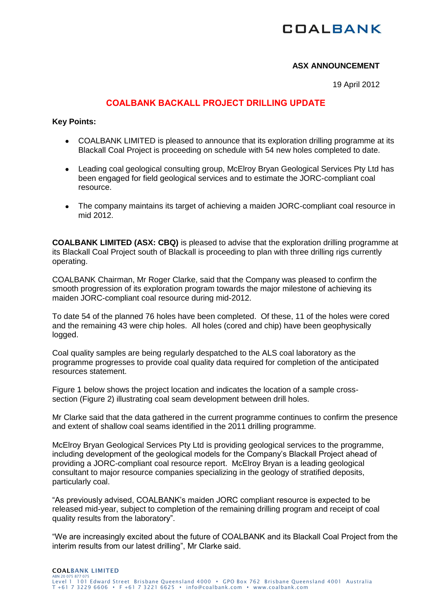# **COALBANK**

### **ASX ANNOUNCEMENT**

19 April 2012

### **COALBANK BACKALL PROJECT DRILLING UPDATE**

#### **Key Points:**

- COALBANK LIMITED is pleased to announce that its exploration drilling programme at its Blackall Coal Project is proceeding on schedule with 54 new holes completed to date.
- Leading coal geological consulting group, McElroy Bryan Geological Services Pty Ltd has  $\bullet$ been engaged for field geological services and to estimate the JORC-compliant coal resource.
- The company maintains its target of achieving a maiden JORC-compliant coal resource in mid 2012.

**COALBANK LIMITED (ASX: CBQ)** is pleased to advise that the exploration drilling programme at its Blackall Coal Project south of Blackall is proceeding to plan with three drilling rigs currently operating.

COALBANK Chairman, Mr Roger Clarke, said that the Company was pleased to confirm the smooth progression of its exploration program towards the major milestone of achieving its maiden JORC-compliant coal resource during mid-2012.

To date 54 of the planned 76 holes have been completed. Of these, 11 of the holes were cored and the remaining 43 were chip holes. All holes (cored and chip) have been geophysically logged.

Coal quality samples are being regularly despatched to the ALS coal laboratory as the programme progresses to provide coal quality data required for completion of the anticipated resources statement.

Figure 1 below shows the project location and indicates the location of a sample crosssection (Figure 2) illustrating coal seam development between drill holes.

Mr Clarke said that the data gathered in the current programme continues to confirm the presence and extent of shallow coal seams identified in the 2011 drilling programme.

McElroy Bryan Geological Services Pty Ltd is providing geological services to the programme, including development of the geological models for the Company's Blackall Project ahead of providing a JORC-compliant coal resource report. McElroy Bryan is a leading geological consultant to major resource companies specializing in the geology of stratified deposits, particularly coal.

"As previously advised, COALBANK's maiden JORC compliant resource is expected to be released mid-year, subject to completion of the remaining drilling program and receipt of coal quality results from the laboratory".

"We are increasingly excited about the future of COALBANK and its Blackall Coal Project from the interim results from our latest drilling", Mr Clarke said.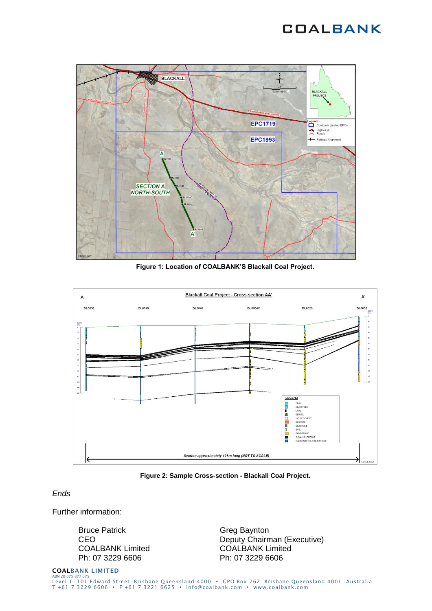## **COALBANK**



**Figure 1: Location of COALBANK'S Blackall Coal Project.**



**Figure 2: Sample Cross-section - Blackall Coal Project.**

#### *Ends*

Further information:

Bruce Patrick **CEO** COALBANK Limited Ph: 07 3229 6606

Greg Baynton Deputy Chairman (Executive) COALBANK Limited Ph: 07 3229 6606

**COALBANK LIMITED** ABN 20075 877 075<br>Level 1 101 Edward Street Brisbane Queensland 4000 • GPO Box 762 Brisbane Queensland 4001 Australia T +61 7 3229 6606 F +61 7 3221 6625 info@coalbank.com www.coalbank.com